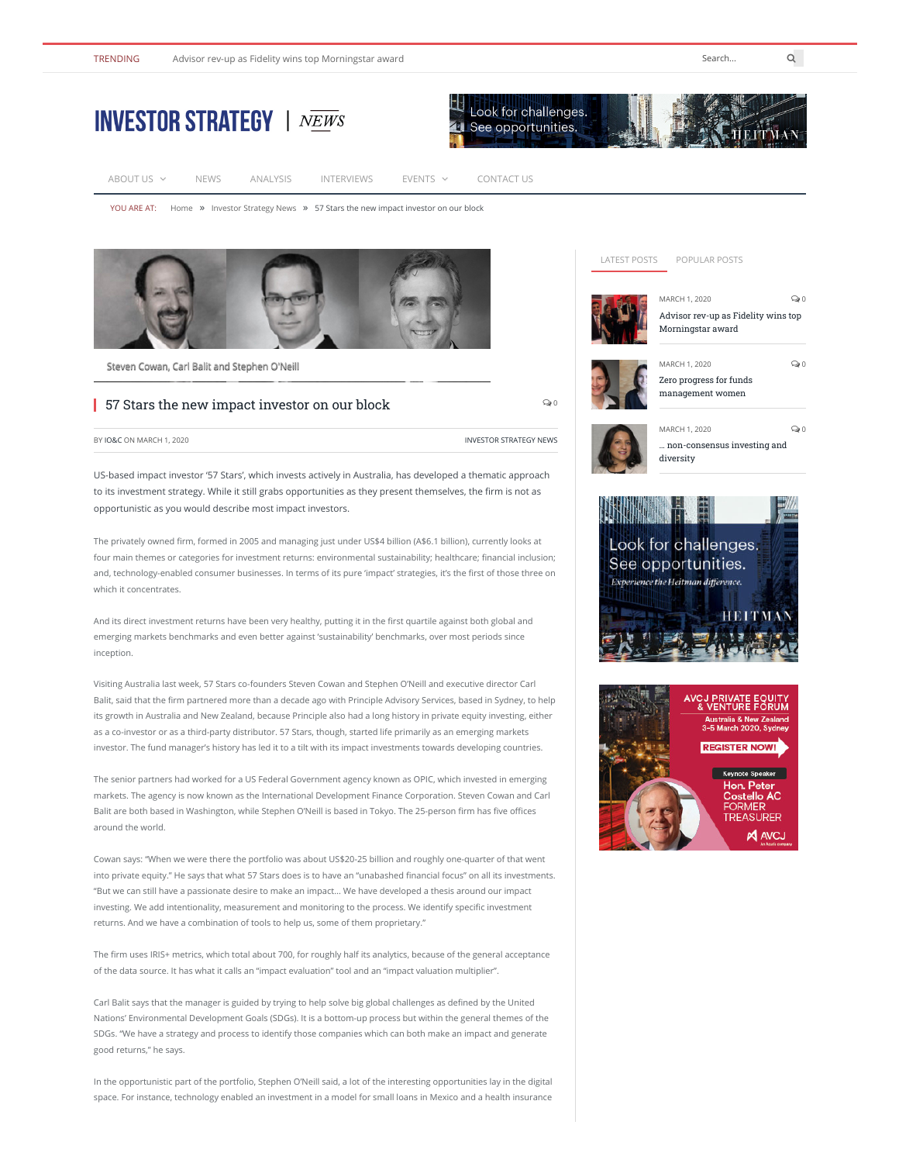

| <b>INVESTOR STRATEGY</b>   NEWS |             |          |                                                                                           |               | $\mathbb{Z}$ Look for challenges.<br>4 See opportunities. |  |
|---------------------------------|-------------|----------|-------------------------------------------------------------------------------------------|---------------|-----------------------------------------------------------|--|
| ABOUT US $\vee$                 | <b>NEWS</b> | ANALYSIS | <b>INTERVIEWS</b>                                                                         | $EVENTS \sim$ | CONTACT US                                                |  |
|                                 |             |          | YOU ARE AT: Home » Investor Strategy News » 57 Stars the new impact investor on our block |               |                                                           |  |



[Steven Cowan, Carl Balit and Stephen O'Neill](https://ioandc.com/wp-content/uploads/2020/03/6-Steven-Cowan-Carl-Balit-and-Stephen-ONeill-web.jpg)

## 57 Stars the new impact investor on our block

 $\odot$ 

BY [IO&C](https://ioandc.com/author/admin/) ON MARCH 1, 2020

US-based impact investor '57 Stars', which invests actively in Australia, has developed a thematic approach to its investment strategy. While it still grabs opportunities as they present themselves, the firm is not as opportunistic as you would describe most impact investors.

The privately owned firm, formed in 2005 and managing just under US\$4 billion (A\$6.1 billion), currently looks at four main themes or categories for investment returns: environmental sustainability; healthcare; financial inclusion; and, technology-enabled consumer businesses. In terms of its pure 'impact' strategies, it's the first of those three on which it concentrates.

And its direct investment returns have been very healthy, putting it in the first quartile against both global and emerging markets benchmarks and even better against 'sustainability' benchmarks, over most periods since inception.

Visiting Australia last week, 57 Stars co-founders Steven Cowan and Stephen O'Neill and executive director Carl Balit, said that the firm partnered more than a decade ago with Principle Advisory Services, based in Sydney, to help its growth in Australia and New Zealand, because Principle also had a long history in private equity investing, either as a co-investor or as a third-party distributor. 57 Stars, though, started life primarily as an emerging markets investor. The fund manager's history has led it to a tilt with its impact investments towards developing countries.

The senior partners had worked for a US Federal Government agency known as OPIC, which invested in emerging markets. The agency is now known as the International Development Finance Corporation. Steven Cowan and Carl Balit are both based in Washington, while Stephen O'Neill is based in Tokyo. The 25-person firm has five offices around the world.

Cowan says: "When we were there the portfolio was about US\$20-25 billion and roughly one-quarter of that went into private equity." He says that what 57 Stars does is to have an "unabashed financial focus" on all its investments. "But we can still have a passionate desire to make an impact… We have developed a thesis around our impact investing. We add intentionality, measurement and monitoring to the process. We identify specific investment returns. And we have a combination of tools to help us, some of them proprietary."

The firm uses IRIS+ metrics, which total about 700, for roughly half its analytics, because of the general acceptance of the data source. It has what it calls an "impact evaluation" tool and an "impact valuation multiplier".

Carl Balit says that the manager is guided by trying to help solve big global challenges as defined by the United Nations' Environmental Development Goals (SDGs). It is a bottom-up process but within the general themes of the SDGs. "We have a strategy and process to identify those companies which can both make an impact and generate good returns," he says.

In the opportunistic part of the portfolio, Stephen O'Neill said, a lot of the interesting opportunities lay in the digital space. For instance, technology enabled an investment in a model for small loans in Mexico and a health insurance

## LATEST POSTS POPULAR POSTS MARCH 1, 2020 [Advisor rev-up as Fidelity wins top](https://ioandc.com/advisor-rev-up-as-fidelity-wins-top-morningstar-award/) Morningstar award MARCH 1, 2020 [Zero progress for funds](https://ioandc.com/zero-progress-for-funds-management-women/)



0

 $\mathbf{Q}$  0

 $\mathbf{Q}$  0



MARCH 1, 2020 [… non-consensus investing and](https://ioandc.com/non-consensus-investing-and-diversity/) diversity